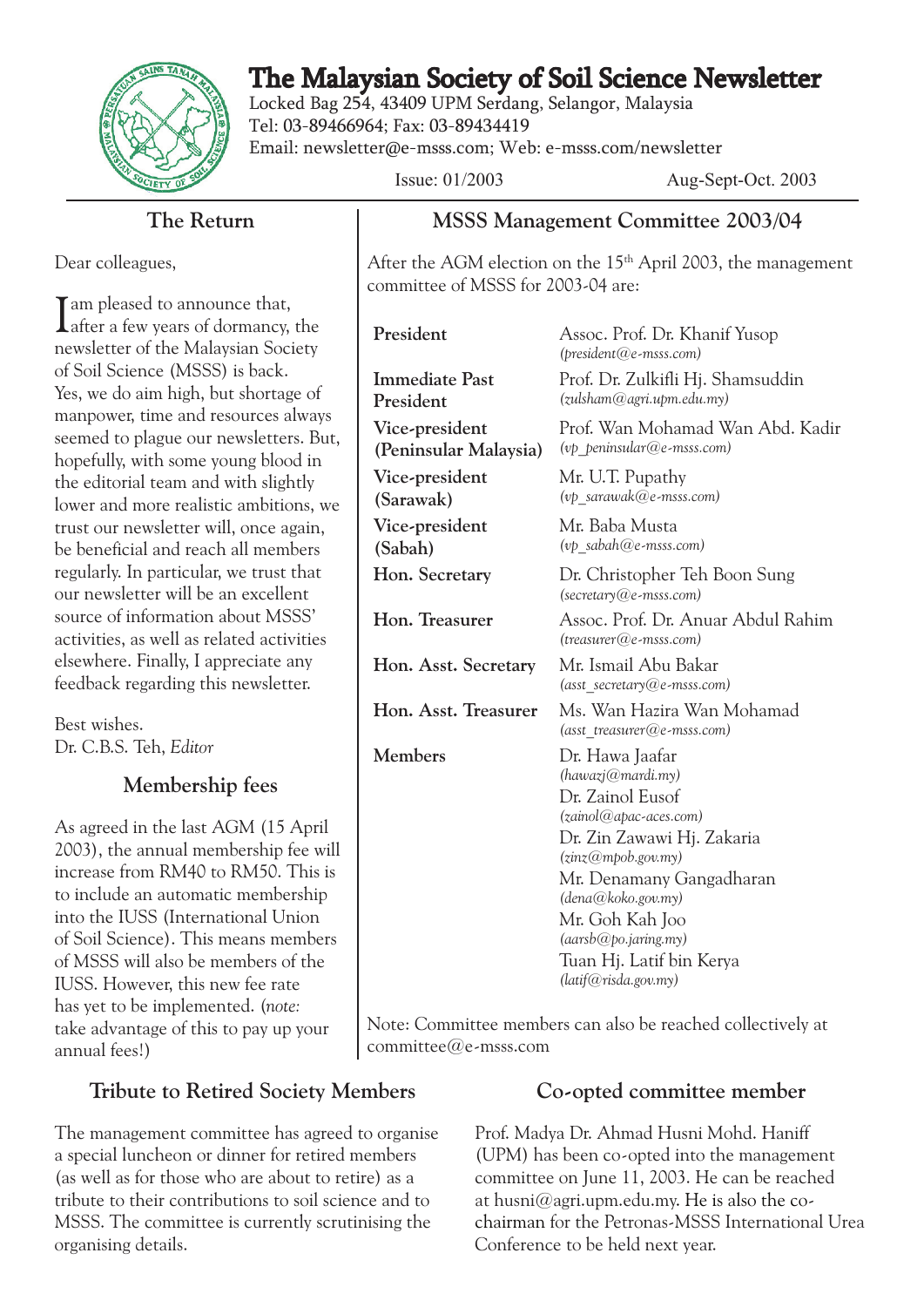

# The Malaysian Society of Soil Science Newsletter

Locked Bag 254, 43409 UPM Serdang, Selangor, Malaysia Tel: 03-89466964; Fax: 03-89434419 Email: newsletter@e-msss.com; Web: e-msss.com/newsletter

Issue: 01/2003 Aug-Sept-Oct. 2003

#### **The Return**

Dear colleagues,

I am pleased to announce that,<br>Lafter a few years of dormancy, the newsletter of the Malaysian Society of Soil Science (MSSS) is back. Yes, we do aim high, but shortage of manpower, time and resources always seemed to plague our newsletters. But, hopefully, with some young blood in the editorial team and with slightly lower and more realistic ambitions, we trust our newsletter will, once again, be beneficial and reach all members regularly. In particular, we trust that our newsletter will be an excellent source of information about MSSS' activities, as well as related activities elsewhere. Finally, I appreciate any feedback regarding this newsletter.

Best wishes. Dr. C.B.S. Teh, *Editor*

#### **Membership fees**

As agreed in the last AGM (15 April 2003), the annual membership fee will increase from RM40 to RM50. This is to include an automatic membership into the IUSS (International Union of Soil Science). This means members of MSSS will also be members of the IUSS. However, this new fee rate has yet to be implemented. (*note:* take advantage of this to pay up your annual fees!)

## **Tribute to Retired Society Members**

The management committee has agreed to organise a special luncheon or dinner for retired members (as well as for those who are about to retire) as a tribute to their contributions to soil science and to MSSS. The committee is currently scrutinising the organising details.

#### **MSSS Management Committee 2003/04**

After the AGM election on the  $15<sup>th</sup>$  April 2003, the management committee of MSSS for 2003-04 are:

| President                               | Assoc. Prof. Dr. Khanif Yusop<br>$(president@e-msss.com)$                                                                                                                                                                                                                               |
|-----------------------------------------|-----------------------------------------------------------------------------------------------------------------------------------------------------------------------------------------------------------------------------------------------------------------------------------------|
| <b>Immediate Past</b><br>President      | Prof. Dr. Zulkifli Hj. Shamsuddin<br>(zulsham@agr.upm.edu.my)                                                                                                                                                                                                                           |
| Vice-president<br>(Peninsular Malaysia) | Prof. Wan Mohamad Wan Abd. Kadir<br>(vp peninsular@e-msss.com)                                                                                                                                                                                                                          |
| Vice-president<br>(Sarawak)             | Mr. U.T. Pupathy<br>(vp sarawak@e-msss.com)                                                                                                                                                                                                                                             |
| Vice-president<br>(Sabah)               | Mr. Baba Musta<br>$(vp \; sabah@e-msss.com)$                                                                                                                                                                                                                                            |
| Hon. Secretary                          | Dr. Christopher Teh Boon Sung<br>$(\text{secretary@e-msss.com})$                                                                                                                                                                                                                        |
| Hon. Treasurer                          | Assoc. Prof. Dr. Anuar Abdul Rahim<br>$(t$ reasurer $@$ e-msss.com)                                                                                                                                                                                                                     |
| Hon. Asst. Secretary                    | Mr. Ismail Abu Bakar<br>(asst secretary@e-msss.com)                                                                                                                                                                                                                                     |
| Hon. Asst. Treasurer                    | Ms. Wan Hazira Wan Mohamad<br>$(asset \t$ reasurer $@e$ -msss.com)                                                                                                                                                                                                                      |
| <b>Members</b>                          | Dr. Hawa Jaafar<br>(hawazj@mardi.my)<br>Dr. Zainol Eusof<br>(zainol@apac-aces.com)<br>Dr. Zin Zawawi Hj. Zakaria<br>(zinz@mpob.gov.my)<br>Mr. Denamany Gangadharan<br>(dena@koko.gov.my)<br>Mr. Goh Kah Joo<br>(aarsb@po.jaring.my)<br>Tuan Hj. Latif bin Kerya<br>(latif@risda.gov.my) |

Note: Committee members can also be reached collectively at committee@e-msss.com

#### **Co-opted committee member**

Prof. Madya Dr. Ahmad Husni Mohd. Haniff (UPM) has been co-opted into the management committee on June 11, 2003. He can be reached at husni $@$ agri.upm.edu.my. He is also the cochairman for the Petronas-MSSS International Urea Conference to be held next year.